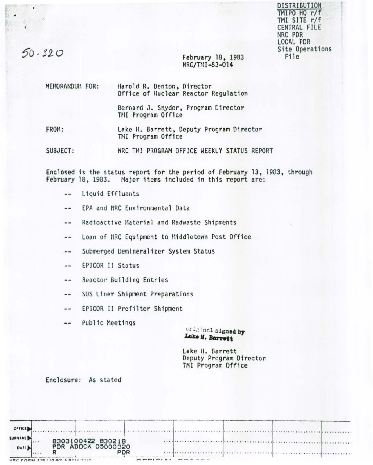DISTRIBUTION TMIPO HQ r/f TMI SITE r/f CENTRAL FILE NRC PDR LOCAL PDR Site Operations File

# $50 - 320$

..

 $\cdot$ 

### February lB, 1983 NRC/TMI-83-014

| MEMORANDUM FOR: | Harold R. Denton, Director<br>Office of Nuclear Reactor Regulation |
|-----------------|--------------------------------------------------------------------|
|                 | Bernard J. Snyder, Program Director<br>TMI Program Office          |
| FROM:           | Lake H. Barrett, Deputy Program Director                           |

FROM: Lake H. Barrett, Deputy Program Director TMI Program Office

SUBJECT: NRC THI PROGRAM OFFICE WEEKLY STATUS REPORT

Enclosed is the status report for the period of February 13, 1903, through february 18, 1983. Major items included 1n th1s report arc:

- liquid Effluents  $\cdots$
- EPA and NRC Environmental Data --
- Radioactive Material and Radwaste Shipments  $-$
- Loan of NRC Equipment to Hiddletown Post Office  $\frac{1}{2}$
- Submerged Uem1neralizer System Status  $-$
- EPJCOR II Status  $-1$
- Reac tor Building Entries  $\ddotsc$
- SDS Liner Shipment Preparations  $- -$
- EPICOR II Prefilter Shipment --
- Public Meetings  $\frac{1}{2}$

*v:* \_L., nr. l signe4 **br**  Lake **H.** Barrott

Lake II. Barrett Ocputy Program Director TMI Program Office

Enclosure: As stated

| - at 9 Aug 16, 17 to 1<br>OFFICE                                                |                                                             |
|---------------------------------------------------------------------------------|-------------------------------------------------------------|
| <b>SURNAMED</b><br>8303100422 830218<br>PDR ADDCK 05000320<br>10.9.71<br>DATE D | xxxxxxxxxxxxxx<br><br><b>TTTTTTTTTTTTTTTTTTTT</b><br>.<br>. |
| <b>PDR</b><br>R<br>                                                             |                                                             |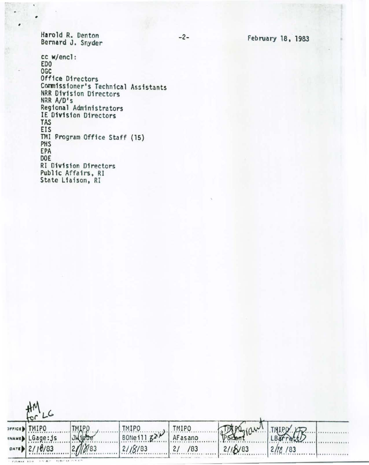Harold R. Denton Bernard J. Snyder

**FORM 318 • 5 RC •• INCM 634** 

,

cc w/encl: EDO OGC Office 01 rectors Commissioner's Technical Assistants NRR D1v1s1on Directors NRR A/O• s Regional Administrators IE D1v1sion D1rectors TAS EIS TMI Program Office Staff (15) PHS EPA DOE RI Division Directors Public Affairs, RI State Liaison, RI

| $\mathbf{u}$    |                                                                 |                       |              |                       |         |  |
|-----------------|-----------------------------------------------------------------|-----------------------|--------------|-----------------------|---------|--|
| <b>TMIPO</b>    | <b>TMIPO</b>                                                    | <b>TMIPO</b>          | <b>TMIPO</b> |                       |         |  |
| MAMED LGage: Js | <b>Julie De</b>                                                 | BONe 111 $Z^{\gamma}$ | AFasano      | Poster (aw) THIPO (B) |         |  |
| DATE 2/10/83    | $2$ <i><i>n</i><sub>1</sub><math>\gamma</math><sub>83</sub></i> | 21/8/83               | /83<br>2/    | 2118/83               | 2/18/83 |  |
|                 |                                                                 |                       |              |                       |         |  |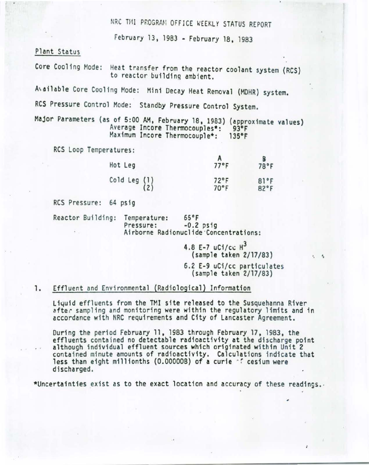NRC TMI PROGRAM OFFICE WEEKLY STATUS REPORT

February 13 , 1983 - February 18, 1983

Plant Status

Core Cooling Mode: Heat transfer from the reactor coolant system (RCS) to reactor building ambient.

Available Core Cooling Mode: Mini Decay Heat Removal (MDHR) system.

RCS Pressure Control Mode: Standby Pressure Control System.

Major Parameters (as of 5:00 AM, February 18, 1983) (approximate values) Average Incore Thermocouples\*: 93°F<br>Maximum Incore Thermocouple\*: 135°F Maximum Incore Thermocouple\*:

RCS Loop Temperatures:

| Hot Leg                                         | 77°F                   | B<br>78°F    |
|-------------------------------------------------|------------------------|--------------|
| Cold Leg $\begin{pmatrix} 1 \\ 2 \end{pmatrix}$ | $72^{\circ}$ F<br>70°F | 81°F<br>82°F |

RCS Pressure: 64 psig

Reactor Building: Temperature: 65°F<br>Pressure: -0.2 psig Airborne Radionuclide Concentrations:

> 4.8 E-7  $uC1/cc$   $H^3$ {sample taken 2/17/83) 6.2 E-9 uCi/cc particulates

 $\ddot{\phantom{a}}$ 

,

(sample taken 2/17/83)

#### 1. Effluent and Environmental (Radiological) Information

Liquid effluents from the TMI site released to the Susquehanna River after sampling and monitoring were within the regulatory limits and in accordance with NRC requirements and City of Lancaster Agreement.

During the period February 11, 1983 through February 17, 1983, the effluents contained no detectable radioactivity at the discharge point although individual effluent sources which originated within Unit 2 contained minute amounts of radioactivity. Calculations indicate that less than eight millionths {0.000008} of a curie *-r* cesium were discharged.

\*Uncertainties exist as to the exact location and accuracy of these readings •.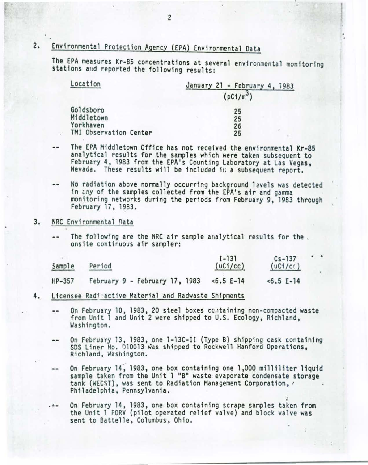## 2. Environmental Protection Agency (EPA) Environmental Data

The EPA measures Kr-85 concentrations at several environmental monitoring stations and reported the following results:

| Location               | January 21 - February 4, 1983 |  |  |
|------------------------|-------------------------------|--|--|
|                        | (pC1/m <sup>3</sup> )         |  |  |
| Goldsboro              | 25                            |  |  |
| Middletown             | 25                            |  |  |
| Yorkhaven              | 26                            |  |  |
| TMI Observation Center | ×<br>25                       |  |  |

- The EPA Middletown Office has not received the environmental Kr-85 -analytical results for the samples which were taken subsequent to<br>February 4, 1983 from the EPA's Counting Laboratory at Las Vegas, Nevada. These results will be included in a subsequent report.
- No radiation above normally occurring background lavels was detected in tny of the samples collected from the EPA's air and gamma monitoring networks during the periods from February 9, 1983 through<br>February 17, 1983.

#### 3. NRC Environmental Data

The following are the NRC air sample analytical results for the.<br>onsite continuous air sampler:

|        |                                | $I - 131$  | $Cs - 137$ | $\bullet$ |
|--------|--------------------------------|------------|------------|-----------|
| Sample | Period                         | (uC1/cc)   | (uC1/cc)   |           |
| HP-357 | February 9 - February 17, 1983 | $5.5 E-14$ | $5.5 E-14$ |           |

#### 4. Licensee Radinactive Material and Radwaste Shipments

- On February 10, 1983, 20 steel boxes containing non-compacted waste from Unit 1 and Unit 2 were shipped to U.S. Ecology, Richland, Washington.
- On February 13, 1983, one 1-13C-II (Type B) shipping cask containing<br>SDS Liner No. 010013 was shipped to Rockwell Hanford Operations, Richland, Washington.
- On February 14, 1983, one box containing one 1,000 milliliter liquid sample taken from the Unit 1 "B" waste evaporate condensate storage tank (WECST), was sent to Radiation Management Corporation. Philadelphia, Pennsylvania. .
- On February 14, 1983, one box containing scrape samples taken from the Unit 1 PORV (pilot operated relief valve) and block valve was sent to Battelle, Columbus, Ohio.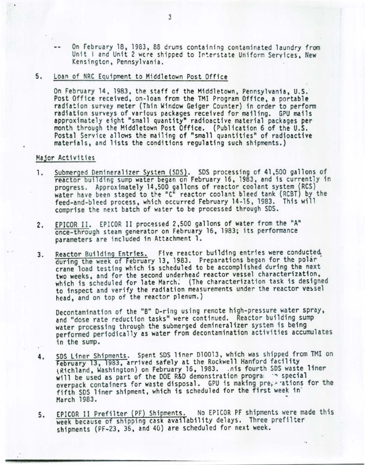On February 18, 1983, 88 drums containing contaminated laundry from Unit I and Unit 2 were shipped to Interstate Uniform Services, New Kensington, Pennsylvania.

#### 5. Loan of NRC Equipment to Middletown Post Office

On February 14, 1983, the staff of the Middletown, Pennsylvania, U.S.<br>Post Office received, on-loan from the TMI Program Office, a portable radiation survey meter (Thin Window Geiger Counter) in order to perfonm radiation surveys of various packages received for mailing. GPU mails approximately eight "small quantity• radioactive material packages per month through the Middletown Post Office. (Publication 6 of the U.S. Postal Service allows the mailing of "small quantities" of radioactive materials, and lists the conditions regulating such shipments.)

#### Major Activities

- 1. Submerged Demineralizer System (SDS). SDS processing of 41,500 gallons of reactor building sump water began on February 16, 1983, and is currently in progress . Approximately 14,500 gallons of reactor coolant system (RCS) water have been staged to the "C" reactor coolant bleed tank (RCBT) by the feed-and-bleed process, which occurred February 14-15, 1983. This will comprise the next batch of water to be processed through SDS.
- 2. EPICOR II. EPICOR II processed 2,500 gallons of water from the "A" once-through steam generator on February 16 , 1983; its perfonmance parameters are included in Attachment 1.
- 3. Reactor Building Entries. Five reactor building entries were conducted during the week of February 13, 1983. Preparations began for the polar· crane load testing which is scheduled to be accomplished during the next two weeks, and for the second underhead reactor vessel characterization, which is scheduled for late March: (The characterization task is designed to inspect and verify the radiation measurements under the reactor vessel head, and on top of the reactor plenum. )

Decontamination of the "B" D-ring using remote high-pressure water spray, and "dose rate reduction tasks" were continued. Reactor building sump water processing through the submerged demineralizer system is being performed periodically as water from decontamination activities accumulates in the sump.

- 4. SDS Liner Shipments. Spent SDS liner D10013, which was shipped from TMI on February 13, 1983, arrived safely at the Rockwell Hanford facility<br>(Richland, Washington) on February 16, 1983. .nis fourth SDS waste liner will be used as part of the DOE R&D demonstration progra. ~ special overpack containers for waste disposal. GPU is making preperations for the fifth SOS liner shipment, which is scheduled for the first week in' March 1983.
- EPICOR II Prefilter (PF) Shipments. No EPICOR PF shipments were made this 5. week because of shipping cask availability delays. Three prefilter shipments (PF-23, 36, and 40) are scheduled for next week.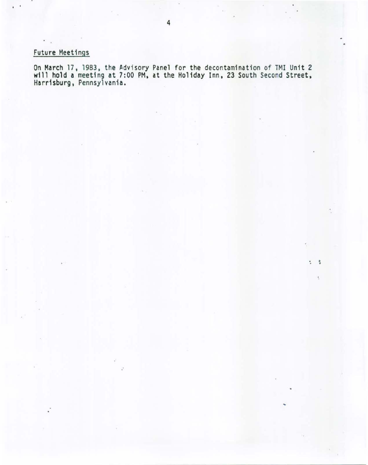## Future Meetings

. .

On March 17, 1983, the Advisory Panel for the decontamination of TMI Unit 2 will hold a meeting at 7:00 PM, at the Holiday Inn, 23 South Second Street, Harrisburg, Pennsylvania.

• .